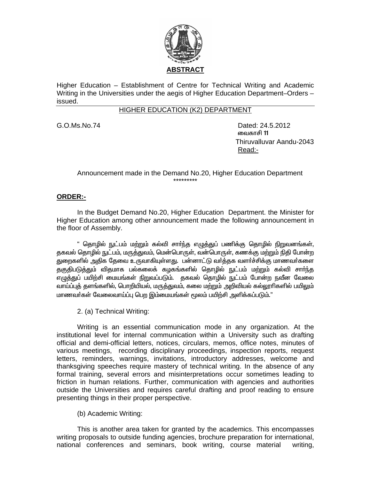

Higher Education – Establishment of Centre for Technical Writing and Academic Writing in the Universities under the aegis of Higher Education Department–Orders – issued.

#### HIGHER EDUCATION (K2) DEPARTMENT

G.O.Ms.No.74 Dated: 24.5.2012 ் வைகாசி  $\,$  11  $\,$  வைகாசி 11  $\,$  Thiruvalluvar Aandu-2043 <u>Read:- Album and Album and Album and Album and Album and Album and Album and Album and Album and Album and Album and Album and Album and Album and Album and Album and Album and Album and Album and Album and Album and Albu</u>

 Announcement made in the Demand No.20, Higher Education Department \*\*\*\*\*\*\*\*\*

### **ORDER:-**

 In the Budget Demand No.20, Higher Education Department. the Minister for Higher Education among other announcement made the following announcement in the floor of Assembly.

" தொழில் நுட்பம் மற்றும் கல்வி சாா்ந்த எழுத்துப் பணிக்கு தொழில் நிறுவனங்கள், தகவல் தொழில் நுட்பம், மருத்துவம், மென்பொருள், வன்பொருள், கணக்கு மற்றும் நிதி போன்ற துறைகளில் அதிக தேவை உருவாகியுள்ளது. பன்னாட்டு வர்த்தக வளர்ச்சிக்கு மாணவர்களை தகுதிபடுத்தும் விதமாக பல்கலைக் கழகங்களில் தொழில் நுட்பம் மற்றும் கல்வி சார்ந்த .<br>எழுத்துப் பயிற்சி மையங்கள் நிறுவப்படும். தகவல் தொழில் நுட்பம் போன்ற நவீன வேலை வாய்ப்புத் தளங்களில், பொறியியல், மருத்துவம், கலை மற்றும் அறிவியல் கல்லூரிகளில் பயிலும் மாணவர்கள் வேலைவாய்ப்பு பெற இம்மையங்கள் மூலம் பயிற்சி அளிக்கப்படும்."

2. (a) Technical Writing:

 Writing is an essential communication mode in any organization. At the institutional level for internal communication within a University such as drafting official and demi-official letters, notices, circulars, memos, office notes, minutes of various meetings, recording disciplinary proceedings, inspection reports, request letters, reminders, warnings, invitations, introductory addresses, welcome and thanksgiving speeches require mastery of technical writing. In the absence of any formal training, several errors and misinterpretations occur sometimes leading to friction in human relations. Further, communication with agencies and authorities outside the Universities and requires careful drafting and proof reading to ensure presenting things in their proper perspective.

(b) Academic Writing:

This is another area taken for granted by the academics. This encompasses writing proposals to outside funding agencies, brochure preparation for international, national conferences and seminars, book writing, course material writing,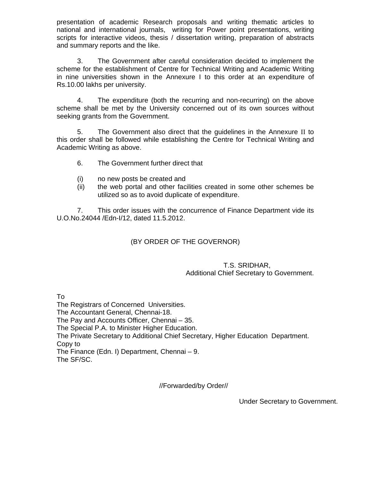presentation of academic Research proposals and writing thematic articles to national and international journals, writing for Power point presentations, writing scripts for interactive videos, thesis / dissertation writing, preparation of abstracts and summary reports and the like.

 3. The Government after careful consideration decided to implement the scheme for the establishment of Centre for Technical Writing and Academic Writing in nine universities shown in the Annexure I to this order at an expenditure of Rs.10.00 lakhs per university.

 4. The expenditure (both the recurring and non-recurring) on the above scheme shall be met by the University concerned out of its own sources without seeking grants from the Government.

 5. The Government also direct that the guidelines in the Annexure II to this order shall be followed while establishing the Centre for Technical Writing and Academic Writing as above.

- 6. The Government further direct that
- (i) no new posts be created and
- (ii) the web portal and other facilities created in some other schemes be utilized so as to avoid duplicate of expenditure.

 7. This order issues with the concurrence of Finance Department vide its U.O.No.24044 /Edn-I/12, dated 11.5.2012.

# (BY ORDER OF THE GOVERNOR)

## T.S. SRIDHAR, Additional Chief Secretary to Government.

To

The Registrars of Concerned Universities.

The Accountant General, Chennai-18.

The Pay and Accounts Officer, Chennai – 35.

The Special P.A. to Minister Higher Education.

The Private Secretary to Additional Chief Secretary, Higher Education Department. Copy to

The Finance (Edn. I) Department, Chennai – 9. The SF/SC.

//Forwarded/by Order//

Under Secretary to Government.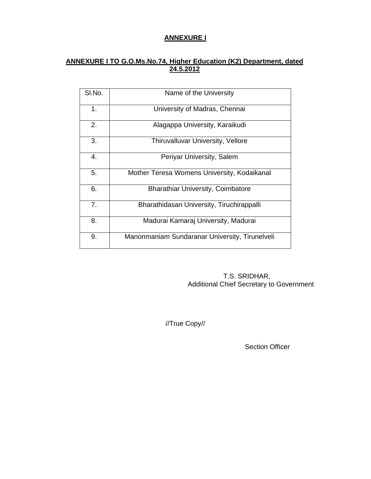# **ANNEXURE I**

## **ANNEXURE I TO G.O.Ms.No.74, Higher Education (K2) Department, dated 24.5.2012**

| SI.No.         | Name of the University                         |
|----------------|------------------------------------------------|
| 1 <sub>1</sub> | University of Madras, Chennai                  |
| 2.             | Alagappa University, Karaikudi                 |
| 3.             | <b>Thiruvalluvar University, Vellore</b>       |
| 4.             | Periyar University, Salem                      |
| 5.             | Mother Teresa Womens University, Kodaikanal    |
| 6.             | <b>Bharathiar University, Coimbatore</b>       |
| 7.             | Bharathidasan University, Tiruchirappalli      |
| 8.             | Madurai Kamaraj University, Madurai            |
| 9.             | Manonmaniam Sundaranar University, Tirunelveli |

 T.S. SRIDHAR, Additional Chief Secretary to Government

//True Copy//

Section Officer